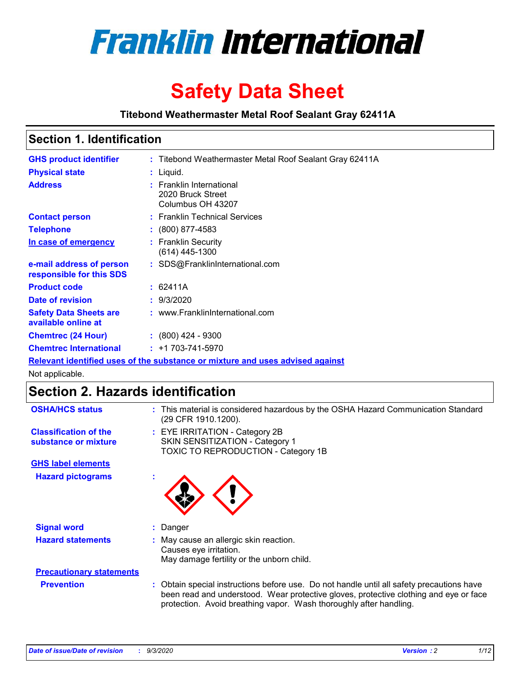

# **Safety Data Sheet**

**Titebond Weathermaster Metal Roof Sealant Gray 62411A**

## **Section 1. Identification**

| <b>GHS product identifier</b>                                                 |  | : Titebond Weathermaster Metal Roof Sealant Gray 62411A            |  |
|-------------------------------------------------------------------------------|--|--------------------------------------------------------------------|--|
| <b>Physical state</b>                                                         |  | : Liquid.                                                          |  |
| <b>Address</b>                                                                |  | : Franklin International<br>2020 Bruck Street<br>Columbus OH 43207 |  |
| <b>Contact person</b>                                                         |  | : Franklin Technical Services                                      |  |
| <b>Telephone</b>                                                              |  | $\div$ (800) 877-4583                                              |  |
| In case of emergency                                                          |  | : Franklin Security<br>(614) 445-1300                              |  |
| e-mail address of person<br>responsible for this SDS                          |  | : SDS@FranklinInternational.com                                    |  |
| <b>Product code</b>                                                           |  | : 62411A                                                           |  |
| Date of revision                                                              |  | : 9/3/2020                                                         |  |
| <b>Safety Data Sheets are</b><br>available online at                          |  | : www.FranklinInternational.com                                    |  |
| <b>Chemtrec (24 Hour)</b>                                                     |  | $: (800)$ 424 - 9300                                               |  |
| <b>Chemtrec International</b>                                                 |  | $: +1703 - 741 - 5970$                                             |  |
| Relevant identified uses of the substance or mixture and uses advised against |  |                                                                    |  |

Not applicable.

## **Section 2. Hazards identification**

| <b>OSHA/HCS status</b>                               |    | : This material is considered hazardous by the OSHA Hazard Communication Standard<br>(29 CFR 1910.1200).                                                                                                                                                 |  |  |  |
|------------------------------------------------------|----|----------------------------------------------------------------------------------------------------------------------------------------------------------------------------------------------------------------------------------------------------------|--|--|--|
| <b>Classification of the</b><br>substance or mixture |    | : EYE IRRITATION - Category 2B<br>SKIN SENSITIZATION - Category 1<br>TOXIC TO REPRODUCTION - Category 1B                                                                                                                                                 |  |  |  |
| <b>GHS label elements</b>                            |    |                                                                                                                                                                                                                                                          |  |  |  |
| <b>Hazard pictograms</b>                             | ×. |                                                                                                                                                                                                                                                          |  |  |  |
| <b>Signal word</b>                                   | ÷. | Danger                                                                                                                                                                                                                                                   |  |  |  |
| <b>Hazard statements</b>                             |    | May cause an allergic skin reaction.<br>Causes eye irritation.<br>May damage fertility or the unborn child.                                                                                                                                              |  |  |  |
| <b>Precautionary statements</b>                      |    |                                                                                                                                                                                                                                                          |  |  |  |
| <b>Prevention</b>                                    |    | : Obtain special instructions before use. Do not handle until all safety precautions have<br>been read and understood. Wear protective gloves, protective clothing and eye or face<br>protection. Avoid breathing vapor. Wash thoroughly after handling. |  |  |  |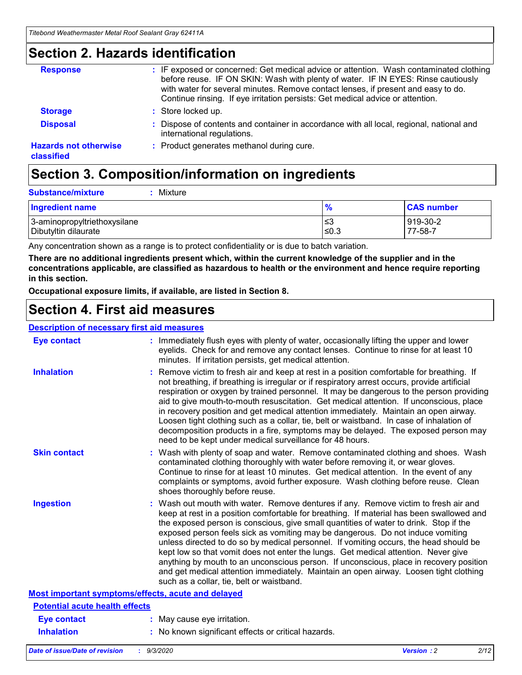## **Section 2. Hazards identification**

| <b>Response</b>                            | : IF exposed or concerned: Get medical advice or attention. Wash contaminated clothing<br>before reuse. IF ON SKIN: Wash with plenty of water. IF IN EYES: Rinse cautiously<br>with water for several minutes. Remove contact lenses, if present and easy to do.<br>Continue rinsing. If eye irritation persists: Get medical advice or attention. |
|--------------------------------------------|----------------------------------------------------------------------------------------------------------------------------------------------------------------------------------------------------------------------------------------------------------------------------------------------------------------------------------------------------|
| <b>Storage</b>                             | : Store locked up.                                                                                                                                                                                                                                                                                                                                 |
| <b>Disposal</b>                            | : Dispose of contents and container in accordance with all local, regional, national and<br>international regulations.                                                                                                                                                                                                                             |
| <b>Hazards not otherwise</b><br>classified | : Product generates methanol during cure.                                                                                                                                                                                                                                                                                                          |

## **Section 3. Composition/information on ingredients**

| : Mixture |
|-----------|
|           |

| <b>Ingredient name</b>       | $\frac{9}{6}$ | <b>CAS number</b> |
|------------------------------|---------------|-------------------|
| 3-aminopropyltriethoxysilane | צ≥            | 919-30-2          |
| Dibutyltin dilaurate         | ≤0.3          | 77-58-7           |

Any concentration shown as a range is to protect confidentiality or is due to batch variation.

**There are no additional ingredients present which, within the current knowledge of the supplier and in the concentrations applicable, are classified as hazardous to health or the environment and hence require reporting in this section.**

**Occupational exposure limits, if available, are listed in Section 8.**

## **Section 4. First aid measures**

| <b>Description of necessary first aid measures</b> |                                                                                                                                                                                                                                                                                                                                                                                                                                                                                                                                                                                                                                                                                                                                                                           |
|----------------------------------------------------|---------------------------------------------------------------------------------------------------------------------------------------------------------------------------------------------------------------------------------------------------------------------------------------------------------------------------------------------------------------------------------------------------------------------------------------------------------------------------------------------------------------------------------------------------------------------------------------------------------------------------------------------------------------------------------------------------------------------------------------------------------------------------|
| <b>Eye contact</b>                                 | : Immediately flush eyes with plenty of water, occasionally lifting the upper and lower<br>eyelids. Check for and remove any contact lenses. Continue to rinse for at least 10<br>minutes. If irritation persists, get medical attention.                                                                                                                                                                                                                                                                                                                                                                                                                                                                                                                                 |
| <b>Inhalation</b>                                  | : Remove victim to fresh air and keep at rest in a position comfortable for breathing. If<br>not breathing, if breathing is irregular or if respiratory arrest occurs, provide artificial<br>respiration or oxygen by trained personnel. It may be dangerous to the person providing<br>aid to give mouth-to-mouth resuscitation. Get medical attention. If unconscious, place<br>in recovery position and get medical attention immediately. Maintain an open airway.<br>Loosen tight clothing such as a collar, tie, belt or waistband. In case of inhalation of<br>decomposition products in a fire, symptoms may be delayed. The exposed person may<br>need to be kept under medical surveillance for 48 hours.                                                       |
| <b>Skin contact</b>                                | : Wash with plenty of soap and water. Remove contaminated clothing and shoes. Wash<br>contaminated clothing thoroughly with water before removing it, or wear gloves.<br>Continue to rinse for at least 10 minutes. Get medical attention. In the event of any<br>complaints or symptoms, avoid further exposure. Wash clothing before reuse. Clean<br>shoes thoroughly before reuse.                                                                                                                                                                                                                                                                                                                                                                                     |
| <b>Ingestion</b>                                   | : Wash out mouth with water. Remove dentures if any. Remove victim to fresh air and<br>keep at rest in a position comfortable for breathing. If material has been swallowed and<br>the exposed person is conscious, give small quantities of water to drink. Stop if the<br>exposed person feels sick as vomiting may be dangerous. Do not induce vomiting<br>unless directed to do so by medical personnel. If vomiting occurs, the head should be<br>kept low so that vomit does not enter the lungs. Get medical attention. Never give<br>anything by mouth to an unconscious person. If unconscious, place in recovery position<br>and get medical attention immediately. Maintain an open airway. Loosen tight clothing<br>such as a collar, tie, belt or waistband. |
| Most important symptoms/effects, acute and delayed |                                                                                                                                                                                                                                                                                                                                                                                                                                                                                                                                                                                                                                                                                                                                                                           |
| <b>Potential acute health effects</b>              |                                                                                                                                                                                                                                                                                                                                                                                                                                                                                                                                                                                                                                                                                                                                                                           |
| <b>Eye contact</b>                                 | : May cause eye irritation.                                                                                                                                                                                                                                                                                                                                                                                                                                                                                                                                                                                                                                                                                                                                               |
| <b>Inhalation</b>                                  | : No known significant effects or critical hazards.                                                                                                                                                                                                                                                                                                                                                                                                                                                                                                                                                                                                                                                                                                                       |
|                                                    |                                                                                                                                                                                                                                                                                                                                                                                                                                                                                                                                                                                                                                                                                                                                                                           |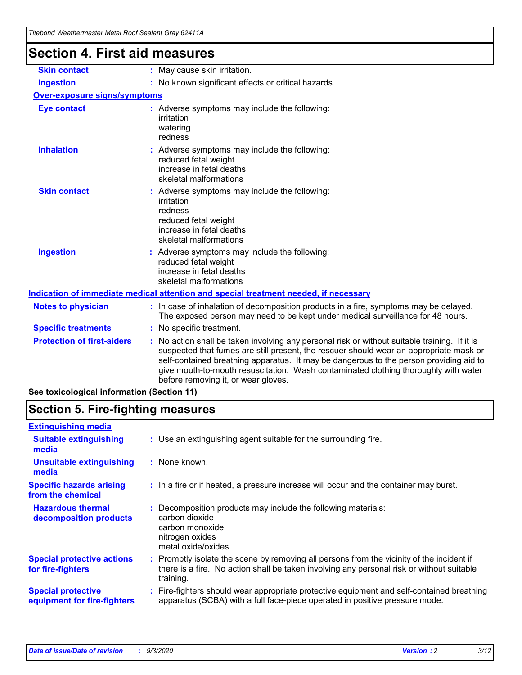| Titebond Weathermaster Metal Roof Sealant Gray 62411A |                                                                                                                                                                                                                                                                                                                                                                                                                 |  |  |
|-------------------------------------------------------|-----------------------------------------------------------------------------------------------------------------------------------------------------------------------------------------------------------------------------------------------------------------------------------------------------------------------------------------------------------------------------------------------------------------|--|--|
| <b>Section 4. First aid measures</b>                  |                                                                                                                                                                                                                                                                                                                                                                                                                 |  |  |
| <b>Skin contact</b>                                   | : May cause skin irritation.                                                                                                                                                                                                                                                                                                                                                                                    |  |  |
| <b>Ingestion</b>                                      | : No known significant effects or critical hazards.                                                                                                                                                                                                                                                                                                                                                             |  |  |
| <b>Over-exposure signs/symptoms</b>                   |                                                                                                                                                                                                                                                                                                                                                                                                                 |  |  |
| <b>Eye contact</b>                                    | : Adverse symptoms may include the following:<br>irritation<br>watering<br>redness                                                                                                                                                                                                                                                                                                                              |  |  |
| <b>Inhalation</b>                                     | Adverse symptoms may include the following:<br>reduced fetal weight<br>increase in fetal deaths<br>skeletal malformations                                                                                                                                                                                                                                                                                       |  |  |
| <b>Skin contact</b>                                   | : Adverse symptoms may include the following:<br>irritation<br>redness<br>reduced fetal weight<br>increase in fetal deaths<br>skeletal malformations                                                                                                                                                                                                                                                            |  |  |
| <b>Ingestion</b>                                      | : Adverse symptoms may include the following:<br>reduced fetal weight<br>increase in fetal deaths<br>skeletal malformations                                                                                                                                                                                                                                                                                     |  |  |
|                                                       | Indication of immediate medical attention and special treatment needed, if necessary                                                                                                                                                                                                                                                                                                                            |  |  |
| <b>Notes to physician</b>                             | : In case of inhalation of decomposition products in a fire, symptoms may be delayed.<br>The exposed person may need to be kept under medical surveillance for 48 hours.                                                                                                                                                                                                                                        |  |  |
| <b>Specific treatments</b>                            | : No specific treatment.                                                                                                                                                                                                                                                                                                                                                                                        |  |  |
| <b>Protection of first-aiders</b>                     | : No action shall be taken involving any personal risk or without suitable training. If it is<br>suspected that fumes are still present, the rescuer should wear an appropriate mask or<br>self-contained breathing apparatus. It may be dangerous to the person providing aid to<br>give mouth-to-mouth resuscitation. Wash contaminated clothing thoroughly with water<br>before removing it, or wear gloves. |  |  |

**See toxicological information (Section 11)**

## **Section 5. Fire-fighting measures**

| <b>Extinguishing media</b>                               |                                                                                                                                                                                                     |
|----------------------------------------------------------|-----------------------------------------------------------------------------------------------------------------------------------------------------------------------------------------------------|
| <b>Suitable extinguishing</b><br>media                   | : Use an extinguishing agent suitable for the surrounding fire.                                                                                                                                     |
| <b>Unsuitable extinguishing</b><br>media                 | : None known.                                                                                                                                                                                       |
| <b>Specific hazards arising</b><br>from the chemical     | : In a fire or if heated, a pressure increase will occur and the container may burst.                                                                                                               |
| <b>Hazardous thermal</b><br>decomposition products       | Decomposition products may include the following materials:<br>carbon dioxide<br>carbon monoxide<br>nitrogen oxides<br>metal oxide/oxides                                                           |
| <b>Special protective actions</b><br>for fire-fighters   | : Promptly isolate the scene by removing all persons from the vicinity of the incident if<br>there is a fire. No action shall be taken involving any personal risk or without suitable<br>training. |
| <b>Special protective</b><br>equipment for fire-fighters | Fire-fighters should wear appropriate protective equipment and self-contained breathing<br>apparatus (SCBA) with a full face-piece operated in positive pressure mode.                              |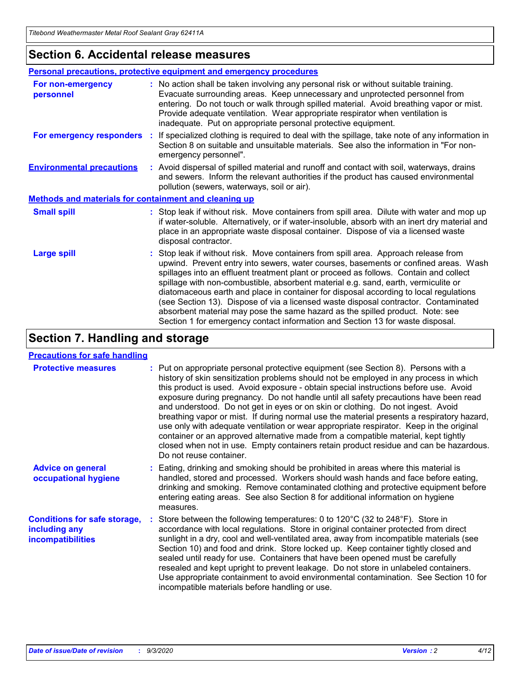## **Section 6. Accidental release measures**

|                                                              | <b>Personal precautions, protective equipment and emergency procedures</b>                                                                                                                                                                                                                                                                                                                                                                                                                                                                                                                                                                                                                                   |  |  |  |
|--------------------------------------------------------------|--------------------------------------------------------------------------------------------------------------------------------------------------------------------------------------------------------------------------------------------------------------------------------------------------------------------------------------------------------------------------------------------------------------------------------------------------------------------------------------------------------------------------------------------------------------------------------------------------------------------------------------------------------------------------------------------------------------|--|--|--|
| For non-emergency<br>personnel                               | : No action shall be taken involving any personal risk or without suitable training.<br>Evacuate surrounding areas. Keep unnecessary and unprotected personnel from<br>entering. Do not touch or walk through spilled material. Avoid breathing vapor or mist.<br>Provide adequate ventilation. Wear appropriate respirator when ventilation is<br>inadequate. Put on appropriate personal protective equipment.                                                                                                                                                                                                                                                                                             |  |  |  |
| For emergency responders                                     | : If specialized clothing is required to deal with the spillage, take note of any information in<br>Section 8 on suitable and unsuitable materials. See also the information in "For non-<br>emergency personnel".                                                                                                                                                                                                                                                                                                                                                                                                                                                                                           |  |  |  |
| <b>Environmental precautions</b>                             | : Avoid dispersal of spilled material and runoff and contact with soil, waterways, drains<br>and sewers. Inform the relevant authorities if the product has caused environmental<br>pollution (sewers, waterways, soil or air).                                                                                                                                                                                                                                                                                                                                                                                                                                                                              |  |  |  |
| <b>Methods and materials for containment and cleaning up</b> |                                                                                                                                                                                                                                                                                                                                                                                                                                                                                                                                                                                                                                                                                                              |  |  |  |
| <b>Small spill</b>                                           | : Stop leak if without risk. Move containers from spill area. Dilute with water and mop up<br>if water-soluble. Alternatively, or if water-insoluble, absorb with an inert dry material and<br>place in an appropriate waste disposal container. Dispose of via a licensed waste<br>disposal contractor.                                                                                                                                                                                                                                                                                                                                                                                                     |  |  |  |
| <b>Large spill</b>                                           | : Stop leak if without risk. Move containers from spill area. Approach release from<br>upwind. Prevent entry into sewers, water courses, basements or confined areas. Wash<br>spillages into an effluent treatment plant or proceed as follows. Contain and collect<br>spillage with non-combustible, absorbent material e.g. sand, earth, vermiculite or<br>diatomaceous earth and place in container for disposal according to local regulations<br>(see Section 13). Dispose of via a licensed waste disposal contractor. Contaminated<br>absorbent material may pose the same hazard as the spilled product. Note: see<br>Section 1 for emergency contact information and Section 13 for waste disposal. |  |  |  |

## **Section 7. Handling and storage**

### **Precautions for safe handling**

| <b>Protective measures</b>                                                       | : Put on appropriate personal protective equipment (see Section 8). Persons with a<br>history of skin sensitization problems should not be employed in any process in which<br>this product is used. Avoid exposure - obtain special instructions before use. Avoid<br>exposure during pregnancy. Do not handle until all safety precautions have been read<br>and understood. Do not get in eyes or on skin or clothing. Do not ingest. Avoid<br>breathing vapor or mist. If during normal use the material presents a respiratory hazard,<br>use only with adequate ventilation or wear appropriate respirator. Keep in the original<br>container or an approved alternative made from a compatible material, kept tightly<br>closed when not in use. Empty containers retain product residue and can be hazardous.<br>Do not reuse container. |
|----------------------------------------------------------------------------------|--------------------------------------------------------------------------------------------------------------------------------------------------------------------------------------------------------------------------------------------------------------------------------------------------------------------------------------------------------------------------------------------------------------------------------------------------------------------------------------------------------------------------------------------------------------------------------------------------------------------------------------------------------------------------------------------------------------------------------------------------------------------------------------------------------------------------------------------------|
| <b>Advice on general</b><br>occupational hygiene                                 | : Eating, drinking and smoking should be prohibited in areas where this material is<br>handled, stored and processed. Workers should wash hands and face before eating,<br>drinking and smoking. Remove contaminated clothing and protective equipment before<br>entering eating areas. See also Section 8 for additional information on hygiene<br>measures.                                                                                                                                                                                                                                                                                                                                                                                                                                                                                    |
| <b>Conditions for safe storage,</b><br>including any<br><i>incompatibilities</i> | Store between the following temperatures: 0 to 120°C (32 to 248°F). Store in<br>accordance with local regulations. Store in original container protected from direct<br>sunlight in a dry, cool and well-ventilated area, away from incompatible materials (see<br>Section 10) and food and drink. Store locked up. Keep container tightly closed and<br>sealed until ready for use. Containers that have been opened must be carefully<br>resealed and kept upright to prevent leakage. Do not store in unlabeled containers.<br>Use appropriate containment to avoid environmental contamination. See Section 10 for<br>incompatible materials before handling or use.                                                                                                                                                                         |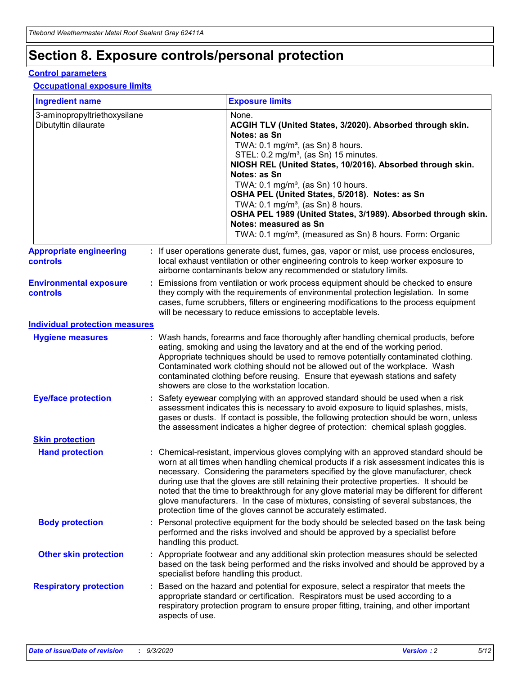## **Section 8. Exposure controls/personal protection**

### **Control parameters**

### **Occupational exposure limits**

| <b>Ingredient name</b>                               |    |                        | <b>Exposure limits</b>                                                                                                                                                                                                                                                                                                                                                                                                                                                                                                                                                                                                 |
|------------------------------------------------------|----|------------------------|------------------------------------------------------------------------------------------------------------------------------------------------------------------------------------------------------------------------------------------------------------------------------------------------------------------------------------------------------------------------------------------------------------------------------------------------------------------------------------------------------------------------------------------------------------------------------------------------------------------------|
| 3-aminopropyltriethoxysilane<br>Dibutyltin dilaurate |    |                        | None.<br>ACGIH TLV (United States, 3/2020). Absorbed through skin.<br>Notes: as Sn<br>TWA: $0.1 \text{ mg/m}^3$ , (as Sn) 8 hours.<br>STEL: 0.2 mg/m <sup>3</sup> , (as Sn) 15 minutes.<br>NIOSH REL (United States, 10/2016). Absorbed through skin.<br>Notes: as Sn<br>TWA: 0.1 mg/m <sup>3</sup> , (as Sn) 10 hours.<br>OSHA PEL (United States, 5/2018). Notes: as Sn<br>TWA: 0.1 mg/m <sup>3</sup> , (as Sn) 8 hours.<br>OSHA PEL 1989 (United States, 3/1989). Absorbed through skin.<br>Notes: measured as Sn<br>TWA: 0.1 mg/m <sup>3</sup> , (measured as Sn) 8 hours. Form: Organic                           |
| <b>Appropriate engineering</b><br>controls           |    |                        | : If user operations generate dust, fumes, gas, vapor or mist, use process enclosures,<br>local exhaust ventilation or other engineering controls to keep worker exposure to<br>airborne contaminants below any recommended or statutory limits.                                                                                                                                                                                                                                                                                                                                                                       |
| <b>Environmental exposure</b><br>controls            |    |                        | Emissions from ventilation or work process equipment should be checked to ensure<br>they comply with the requirements of environmental protection legislation. In some<br>cases, fume scrubbers, filters or engineering modifications to the process equipment<br>will be necessary to reduce emissions to acceptable levels.                                                                                                                                                                                                                                                                                          |
| <b>Individual protection measures</b>                |    |                        |                                                                                                                                                                                                                                                                                                                                                                                                                                                                                                                                                                                                                        |
| <b>Hygiene measures</b>                              |    |                        | : Wash hands, forearms and face thoroughly after handling chemical products, before<br>eating, smoking and using the lavatory and at the end of the working period.<br>Appropriate techniques should be used to remove potentially contaminated clothing.<br>Contaminated work clothing should not be allowed out of the workplace. Wash<br>contaminated clothing before reusing. Ensure that eyewash stations and safety<br>showers are close to the workstation location.                                                                                                                                            |
| <b>Eye/face protection</b>                           |    |                        | Safety eyewear complying with an approved standard should be used when a risk<br>assessment indicates this is necessary to avoid exposure to liquid splashes, mists,<br>gases or dusts. If contact is possible, the following protection should be worn, unless<br>the assessment indicates a higher degree of protection: chemical splash goggles.                                                                                                                                                                                                                                                                    |
| <b>Skin protection</b>                               |    |                        |                                                                                                                                                                                                                                                                                                                                                                                                                                                                                                                                                                                                                        |
| <b>Hand protection</b>                               |    |                        | : Chemical-resistant, impervious gloves complying with an approved standard should be<br>worn at all times when handling chemical products if a risk assessment indicates this is<br>necessary. Considering the parameters specified by the glove manufacturer, check<br>during use that the gloves are still retaining their protective properties. It should be<br>noted that the time to breakthrough for any glove material may be different for different<br>glove manufacturers. In the case of mixtures, consisting of several substances, the<br>protection time of the gloves cannot be accurately estimated. |
| <b>Body protection</b>                               |    | handling this product. | Personal protective equipment for the body should be selected based on the task being<br>performed and the risks involved and should be approved by a specialist before                                                                                                                                                                                                                                                                                                                                                                                                                                                |
| <b>Other skin protection</b>                         |    |                        | : Appropriate footwear and any additional skin protection measures should be selected<br>based on the task being performed and the risks involved and should be approved by a<br>specialist before handling this product.                                                                                                                                                                                                                                                                                                                                                                                              |
| <b>Respiratory protection</b>                        | ÷. | aspects of use.        | Based on the hazard and potential for exposure, select a respirator that meets the<br>appropriate standard or certification. Respirators must be used according to a<br>respiratory protection program to ensure proper fitting, training, and other important                                                                                                                                                                                                                                                                                                                                                         |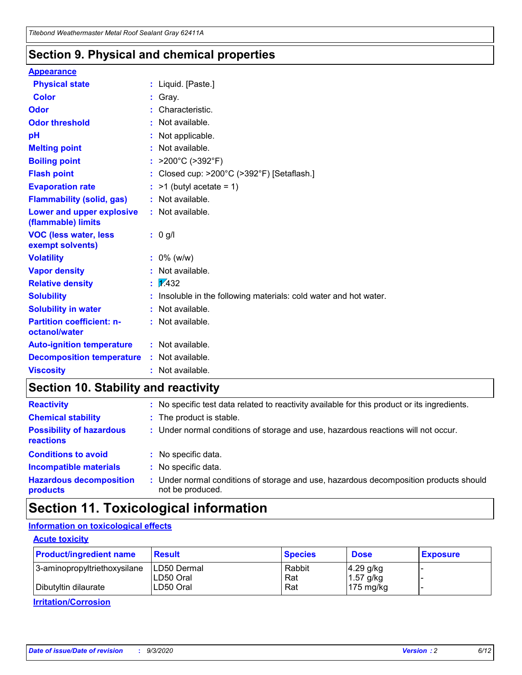## **Section 9. Physical and chemical properties**

### **Appearance**

| <b>Physical state</b>                             | : Liquid. [Paste.]                                              |
|---------------------------------------------------|-----------------------------------------------------------------|
| <b>Color</b>                                      | Gray.                                                           |
| Odor                                              | Characteristic.                                                 |
| <b>Odor threshold</b>                             | Not available.                                                  |
| рH                                                | Not applicable.                                                 |
| <b>Melting point</b>                              | : Not available.                                                |
| <b>Boiling point</b>                              | >200°C (>392°F)                                                 |
| <b>Flash point</b>                                | Closed cup: >200°C (>392°F) [Setaflash.]                        |
| <b>Evaporation rate</b>                           | $:$ >1 (butyl acetate = 1)                                      |
| <b>Flammability (solid, gas)</b>                  | : Not available.                                                |
| Lower and upper explosive<br>(flammable) limits   | : Not available.                                                |
| <b>VOC (less water, less)</b><br>exempt solvents) | : 0 g/l                                                         |
| <b>Volatility</b>                                 | $: 0\%$ (w/w)                                                   |
| <b>Vapor density</b>                              | Not available.                                                  |
| <b>Relative density</b>                           | $\mathbf{1}$ $\mathbf{\sqrt{432}}$                              |
| <b>Solubility</b>                                 | Insoluble in the following materials: cold water and hot water. |
| <b>Solubility in water</b>                        | Not available.                                                  |
| <b>Partition coefficient: n-</b><br>octanol/water | $:$ Not available.                                              |
| <b>Auto-ignition temperature</b>                  | : Not available.                                                |
| <b>Decomposition temperature</b>                  | : Not available.                                                |
| <b>Viscosity</b>                                  | $:$ Not available.                                              |

## **Section 10. Stability and reactivity**

| <b>Reactivity</b>                            |    | : No specific test data related to reactivity available for this product or its ingredients.            |
|----------------------------------------------|----|---------------------------------------------------------------------------------------------------------|
| <b>Chemical stability</b>                    |    | : The product is stable.                                                                                |
| <b>Possibility of hazardous</b><br>reactions |    | : Under normal conditions of storage and use, hazardous reactions will not occur.                       |
| <b>Conditions to avoid</b>                   |    | : No specific data.                                                                                     |
| <b>Incompatible materials</b>                | ٠. | No specific data.                                                                                       |
| <b>Hazardous decomposition</b><br>products   | ÷. | Under normal conditions of storage and use, hazardous decomposition products should<br>not be produced. |

## **Section 11. Toxicological information**

## **Information on toxicological effects**

## **Acute toxicity**

| <b>Product/ingredient name</b> | <b>Result</b>           | <b>Species</b> | <b>Dose</b>                | <b>Exposure</b> |
|--------------------------------|-------------------------|----------------|----------------------------|-----------------|
| 3-aminopropyltriethoxysilane   | <b>ILD50 Dermal</b>     | Rabbit         | 4.29 g/kg                  |                 |
| Dibutyltin dilaurate           | ILD50 Oral<br>LD50 Oral | Rat<br>Rat     | $1.57$ g/kg<br>175 $mg/kg$ |                 |
|                                |                         |                |                            |                 |

**Irritation/Corrosion**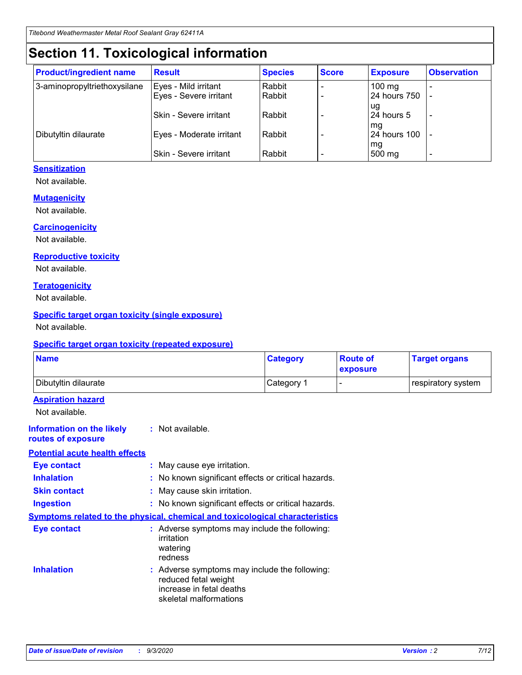## **Section 11. Toxicological information**

| <b>Product/ingredient name</b> | <b>Result</b>            | <b>Species</b> | <b>Score</b> | <b>Exposure</b>           | <b>Observation</b> |
|--------------------------------|--------------------------|----------------|--------------|---------------------------|--------------------|
| 3-aminopropyltriethoxysilane   | Eyes - Mild irritant     | Rabbit         |              | $100$ mg                  |                    |
|                                | Eyes - Severe irritant   | Rabbit         |              | 24 hours 750              |                    |
|                                |                          |                |              | ug                        |                    |
|                                | Skin - Severe irritant   | Rabbit         |              | 24 hours 5                | -                  |
| Dibutyltin dilaurate           | Eyes - Moderate irritant | Rabbit         |              | mg<br><b>24 hours 100</b> |                    |
|                                |                          |                |              | mg                        |                    |
|                                | Skin - Severe irritant   | Rabbit         |              | 500 mg                    | -                  |

## **Sensitization**

Not available.

## **Mutagenicity**

Not available.

### **Carcinogenicity**

Not available.

### **Reproductive toxicity**

Not available.

### **Teratogenicity**

Not available.

## **Specific target organ toxicity (single exposure)**

Not available.

### **Specific target organ toxicity (repeated exposure)**

| <b>Name</b>                                                                  |                                                                                    | <b>Category</b>                                     | <b>Route of</b><br>exposure | <b>Target organs</b> |  |  |
|------------------------------------------------------------------------------|------------------------------------------------------------------------------------|-----------------------------------------------------|-----------------------------|----------------------|--|--|
| Dibutyltin dilaurate                                                         |                                                                                    | Category 1                                          | $\overline{\phantom{0}}$    | respiratory system   |  |  |
| <b>Aspiration hazard</b><br>Not available.                                   |                                                                                    |                                                     |                             |                      |  |  |
| <b>Information on the likely</b><br>routes of exposure                       | : Not available.                                                                   |                                                     |                             |                      |  |  |
| <b>Potential acute health effects</b>                                        |                                                                                    |                                                     |                             |                      |  |  |
| <b>Eye contact</b>                                                           | : May cause eye irritation.                                                        |                                                     |                             |                      |  |  |
| <b>Inhalation</b>                                                            |                                                                                    | : No known significant effects or critical hazards. |                             |                      |  |  |
| <b>Skin contact</b>                                                          |                                                                                    | : May cause skin irritation.                        |                             |                      |  |  |
| <b>Ingestion</b>                                                             |                                                                                    | : No known significant effects or critical hazards. |                             |                      |  |  |
| Symptoms related to the physical, chemical and toxicological characteristics |                                                                                    |                                                     |                             |                      |  |  |
| <b>Eye contact</b>                                                           | : Adverse symptoms may include the following:<br>irritation<br>watering<br>redness |                                                     |                             |                      |  |  |
| <b>Inhalation</b>                                                            | reduced fetal weight<br>increase in fetal deaths<br>skeletal malformations         | : Adverse symptoms may include the following:       |                             |                      |  |  |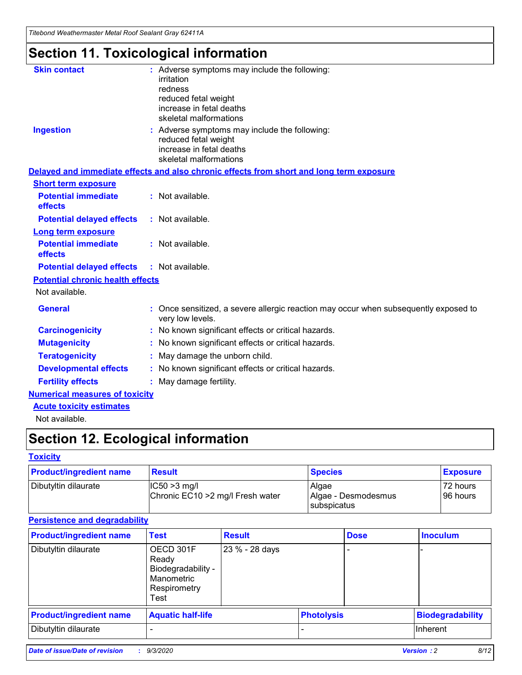*Titebond Weathermaster Metal Roof Sealant Gray 62411A*

## **Section 11. Toxicological information**

| <b>Skin contact</b>                     | irritation<br>redness<br>reduced fetal weight<br>increase in fetal deaths<br>skeletal malformations | : Adverse symptoms may include the following:                                            |
|-----------------------------------------|-----------------------------------------------------------------------------------------------------|------------------------------------------------------------------------------------------|
| <b>Ingestion</b>                        | reduced fetal weight<br>increase in fetal deaths<br>skeletal malformations                          | : Adverse symptoms may include the following:                                            |
|                                         |                                                                                                     | Delayed and immediate effects and also chronic effects from short and long term exposure |
| <b>Short term exposure</b>              |                                                                                                     |                                                                                          |
| <b>Potential immediate</b><br>effects   | : Not available.                                                                                    |                                                                                          |
| <b>Potential delayed effects</b>        | : Not available.                                                                                    |                                                                                          |
| <b>Long term exposure</b>               |                                                                                                     |                                                                                          |
| <b>Potential immediate</b><br>effects   | : Not available.                                                                                    |                                                                                          |
| <b>Potential delayed effects</b>        | : Not available.                                                                                    |                                                                                          |
| <b>Potential chronic health effects</b> |                                                                                                     |                                                                                          |
| Not available.                          |                                                                                                     |                                                                                          |
| <b>General</b>                          | very low levels.                                                                                    | : Once sensitized, a severe allergic reaction may occur when subsequently exposed to     |
| <b>Carcinogenicity</b>                  |                                                                                                     | : No known significant effects or critical hazards.                                      |
| <b>Mutagenicity</b>                     |                                                                                                     | No known significant effects or critical hazards.                                        |
| <b>Teratogenicity</b>                   |                                                                                                     | May damage the unborn child.                                                             |
| <b>Developmental effects</b>            |                                                                                                     | : No known significant effects or critical hazards.                                      |
| <b>Fertility effects</b>                | May damage fertility.                                                                               |                                                                                          |
| <b>Numerical measures of toxicity</b>   |                                                                                                     |                                                                                          |
| <b>Acute toxicity estimates</b>         |                                                                                                     |                                                                                          |
| Not available.                          |                                                                                                     |                                                                                          |

## **Section 12. Ecological information**

## **Toxicity**

| <b>Product/ingredient name</b> | <b>Result</b>                                       | <b>Species</b>               | <b>Exposure</b>       |
|--------------------------------|-----------------------------------------------------|------------------------------|-----------------------|
| Dibutyltin dilaurate           | $ IC50>3$ mg/l<br>Chronic EC10 > 2 mg/l Fresh water | Algae<br>Algae - Desmodesmus | 72 hours<br>196 hours |
|                                |                                                     | subspicatus                  |                       |

## **Persistence and degradability**

| <b>Product/ingredient name</b> | <b>Test</b>                                                                    | <b>Result</b>  |                   | <b>Dose</b> | <b>Inoculum</b>         |
|--------------------------------|--------------------------------------------------------------------------------|----------------|-------------------|-------------|-------------------------|
| Dibutyltin dilaurate           | OECD 301F<br>Ready<br>Biodegradability -<br>Manometric<br>Respirometry<br>Test | 23 % - 28 days |                   |             |                         |
| <b>Product/ingredient name</b> | <b>Aquatic half-life</b>                                                       |                | <b>Photolysis</b> |             | <b>Biodegradability</b> |
| Dibutyltin dilaurate           |                                                                                |                |                   |             | <b>Inherent</b>         |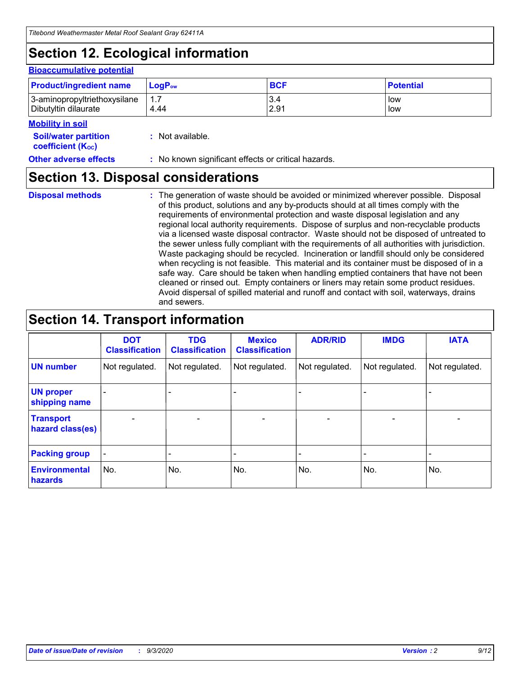## **Section 12. Ecological information**

### **Bioaccumulative potential**

| <b>Product/ingredient name</b> | <b>LogP</b> <sub>ow</sub> | <b>BCF</b> | <b>Potential</b> |
|--------------------------------|---------------------------|------------|------------------|
| 3-aminopropyltriethoxysilane   | 4.44                      | 3.4        | low              |
| Dibutyltin dilaurate           |                           | 2.91       | low              |

#### **Mobility in soil**

| <b>Soil/water partition</b> | : Not available. |
|-----------------------------|------------------|
| <b>coefficient (Koc)</b>    |                  |

## **Other adverse effects** : No known significant effects or critical hazards.

## **Section 13. Disposal considerations**

**Disposal methods :**

The generation of waste should be avoided or minimized wherever possible. Disposal of this product, solutions and any by-products should at all times comply with the requirements of environmental protection and waste disposal legislation and any regional local authority requirements. Dispose of surplus and non-recyclable products via a licensed waste disposal contractor. Waste should not be disposed of untreated to the sewer unless fully compliant with the requirements of all authorities with jurisdiction. Waste packaging should be recycled. Incineration or landfill should only be considered when recycling is not feasible. This material and its container must be disposed of in a safe way. Care should be taken when handling emptied containers that have not been cleaned or rinsed out. Empty containers or liners may retain some product residues. Avoid dispersal of spilled material and runoff and contact with soil, waterways, drains and sewers.

## **Section 14. Transport information**

|                                      | <b>DOT</b><br><b>Classification</b> | <b>TDG</b><br><b>Classification</b> | <b>Mexico</b><br><b>Classification</b> | <b>ADR/RID</b>           | <b>IMDG</b>              | <b>IATA</b>    |
|--------------------------------------|-------------------------------------|-------------------------------------|----------------------------------------|--------------------------|--------------------------|----------------|
| <b>UN number</b>                     | Not regulated.                      | Not regulated.                      | Not regulated.                         | Not regulated.           | Not regulated.           | Not regulated. |
| <b>UN proper</b><br>shipping name    |                                     |                                     |                                        |                          |                          |                |
| <b>Transport</b><br>hazard class(es) | $\blacksquare$                      | $\overline{\phantom{0}}$            | $\overline{\phantom{a}}$               | $\overline{\phantom{0}}$ | $\overline{\phantom{a}}$ | $\blacksquare$ |
| <b>Packing group</b>                 |                                     |                                     |                                        |                          |                          | -              |
| <b>Environmental</b><br>hazards      | No.                                 | No.                                 | No.                                    | No.                      | No.                      | No.            |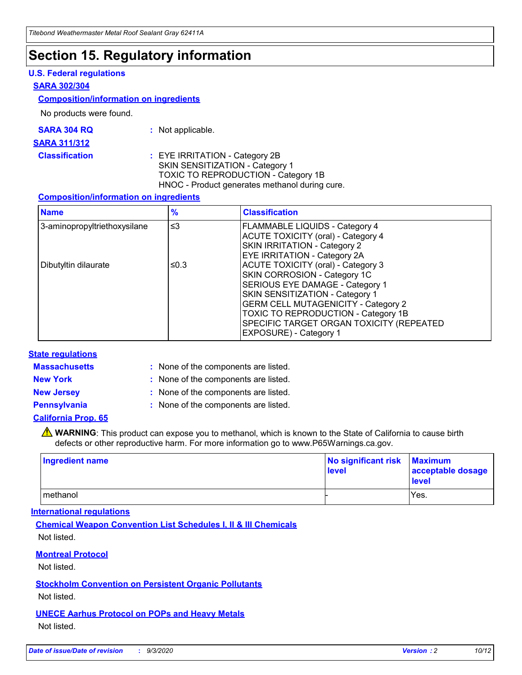## **Section 15. Regulatory information**

## **U.S. Federal regulations**

### **SARA 302/304**

### **Composition/information on ingredients**

No products were found.

| SARA 304 RQ | Not applicable. |
|-------------|-----------------|
|-------------|-----------------|

#### **SARA 311/312**

### **Classification :** EYE IRRITATION - Category 2B SKIN SENSITIZATION - Category 1 TOXIC TO REPRODUCTION - Category 1B HNOC - Product generates methanol during cure.

### **Composition/information on ingredients**

| <b>Name</b>                  | $\frac{9}{6}$ | <b>Classification</b>                                                                                                                                                                                                                                                                                      |
|------------------------------|---------------|------------------------------------------------------------------------------------------------------------------------------------------------------------------------------------------------------------------------------------------------------------------------------------------------------------|
| 3-aminopropyltriethoxysilane | $\leq$ 3      | <b>FLAMMABLE LIQUIDS - Category 4</b><br><b>ACUTE TOXICITY (oral) - Category 4</b><br><b>SKIN IRRITATION - Category 2</b><br>EYE IRRITATION - Category 2A                                                                                                                                                  |
| Dibutyltin dilaurate         | ≤0.3          | <b>ACUTE TOXICITY (oral) - Category 3</b><br>SKIN CORROSION - Category 1C<br>SERIOUS EYE DAMAGE - Category 1<br>SKIN SENSITIZATION - Category 1<br><b>GERM CELL MUTAGENICITY - Category 2</b><br>TOXIC TO REPRODUCTION - Category 1B<br>SPECIFIC TARGET ORGAN TOXICITY (REPEATED<br>EXPOSURE) - Category 1 |

### **State regulations**

**Massachusetts :**

: None of the components are listed.

**New York :** None of the components are listed.

**New Jersey :** None of the components are listed.

**Pennsylvania :** None of the components are listed.

## **California Prop. 65**

WARNING: This product can expose you to methanol, which is known to the State of California to cause birth defects or other reproductive harm. For more information go to www.P65Warnings.ca.gov.

| Ingredient name | No significant risk Maximum<br>level | acceptable dosage<br><b>level</b> |
|-----------------|--------------------------------------|-----------------------------------|
| I methanol      |                                      | Yes.                              |

## **International regulations**

**Chemical Weapon Convention List Schedules I, II & III Chemicals** Not listed.

## **Montreal Protocol**

Not listed.

**Stockholm Convention on Persistent Organic Pollutants**

Not listed.

## **UNECE Aarhus Protocol on POPs and Heavy Metals** Not listed.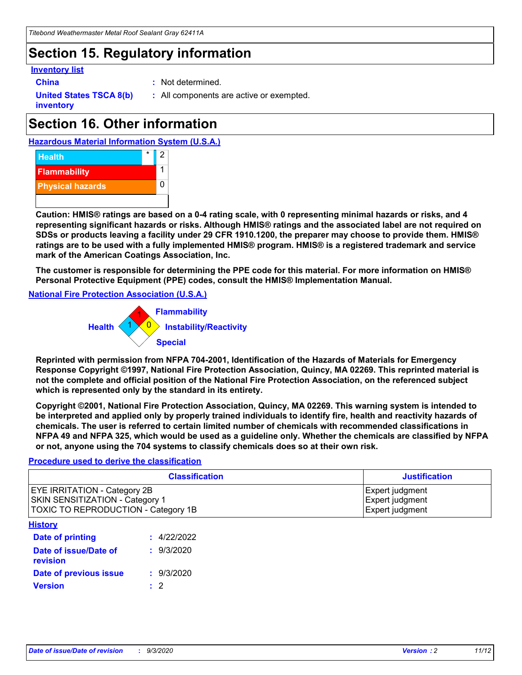## **Section 15. Regulatory information**

### **Inventory list**

- 
- **China :** Not determined.

**United States TSCA 8(b) inventory**

**:** All components are active or exempted.

## **Section 16. Other information**





**Caution: HMIS® ratings are based on a 0-4 rating scale, with 0 representing minimal hazards or risks, and 4 representing significant hazards or risks. Although HMIS® ratings and the associated label are not required on SDSs or products leaving a facility under 29 CFR 1910.1200, the preparer may choose to provide them. HMIS® ratings are to be used with a fully implemented HMIS® program. HMIS® is a registered trademark and service mark of the American Coatings Association, Inc.**

**The customer is responsible for determining the PPE code for this material. For more information on HMIS® Personal Protective Equipment (PPE) codes, consult the HMIS® Implementation Manual.**

**National Fire Protection Association (U.S.A.)**



**Reprinted with permission from NFPA 704-2001, Identification of the Hazards of Materials for Emergency Response Copyright ©1997, National Fire Protection Association, Quincy, MA 02269. This reprinted material is not the complete and official position of the National Fire Protection Association, on the referenced subject which is represented only by the standard in its entirety.**

**Copyright ©2001, National Fire Protection Association, Quincy, MA 02269. This warning system is intended to be interpreted and applied only by properly trained individuals to identify fire, health and reactivity hazards of chemicals. The user is referred to certain limited number of chemicals with recommended classifications in NFPA 49 and NFPA 325, which would be used as a guideline only. Whether the chemicals are classified by NFPA or not, anyone using the 704 systems to classify chemicals does so at their own risk.**

### **Procedure used to derive the classification**

| <b>Classification</b>                                                                                         | <b>Justification</b>                                  |
|---------------------------------------------------------------------------------------------------------------|-------------------------------------------------------|
| <b>EYE IRRITATION - Category 2B</b><br>SKIN SENSITIZATION - Category 1<br>TOXIC TO REPRODUCTION - Category 1B | Expert judgment<br>Expert judgment<br>Expert judgment |
| <b>History</b>                                                                                                |                                                       |

| .                                 |             |
|-----------------------------------|-------------|
| <b>Date of printing</b>           | : 4/22/2022 |
| Date of issue/Date of<br>revision | : 9/3/2020  |
| Date of previous issue            | : 9/3/2020  |
| <b>Version</b>                    | $\cdot$ 2   |
|                                   |             |